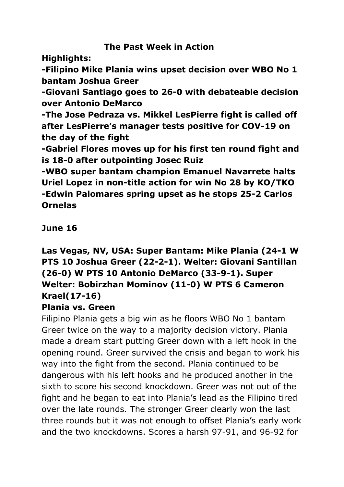#### **The Past Week in Action**

**Highlights:**

**-Filipino Mike Plania wins upset decision over WBO No 1 bantam Joshua Greer**

**-Giovani Santiago goes to 26-0 with debateable decision over Antonio DeMarco**

**-The Jose Pedraza vs. Mikkel LesPierre fight is called off after LesPierre's manager tests positive for COV-19 on the day of the fight**

**-Gabriel Flores moves up for his first ten round fight and is 18-0 after outpointing Josec Ruiz**

**-WBO super bantam champion Emanuel Navarrete halts Uriel Lopez in non-title action for win No 28 by KO/TKO -Edwin Palomares spring upset as he stops 25-2 Carlos Ornelas**

**June 16**

# **Las Vegas, NV, USA: Super Bantam: Mike Plania (24-1 W PTS 10 Joshua Greer (22-2-1). Welter: Giovani Santillan (26-0) W PTS 10 Antonio DeMarco (33-9-1). Super Welter: Bobirzhan Mominov (11-0) W PTS 6 Cameron Krael(17-16)**

### **Plania vs. Green**

Filipino Plania gets a big win as he floors WBO No 1 bantam Greer twice on the way to a majority decision victory. Plania made a dream start putting Greer down with a left hook in the opening round. Greer survived the crisis and began to work his way into the fight from the second. Plania continued to be dangerous with his left hooks and he produced another in the sixth to score his second knockdown. Greer was not out of the fight and he began to eat into Plania's lead as the Filipino tired over the late rounds. The stronger Greer clearly won the last three rounds but it was not enough to offset Plania's early work and the two knockdowns. Scores a harsh 97-91, and 96-92 for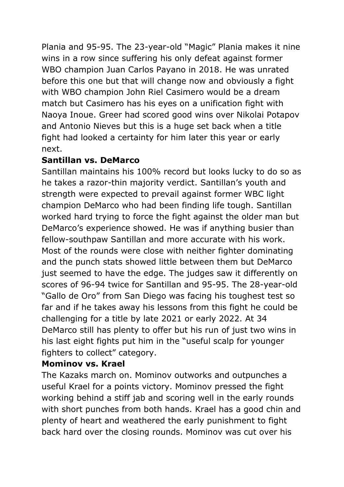Plania and 95-95. The 23-year-old "Magic" Plania makes it nine wins in a row since suffering his only defeat against former WBO champion Juan Carlos Payano in 2018. He was unrated before this one but that will change now and obviously a fight with WBO champion John Riel Casimero would be a dream match but Casimero has his eyes on a unification fight with Naoya Inoue. Greer had scored good wins over Nikolai Potapov and Antonio Nieves but this is a huge set back when a title fight had looked a certainty for him later this year or early next.

### **Santillan vs. DeMarco**

Santillan maintains his 100% record but looks lucky to do so as he takes a razor-thin majority verdict. Santillan's youth and strength were expected to prevail against former WBC light champion DeMarco who had been finding life tough. Santillan worked hard trying to force the fight against the older man but DeMarco's experience showed. He was if anything busier than fellow-southpaw Santillan and more accurate with his work. Most of the rounds were close with neither fighter dominating and the punch stats showed little between them but DeMarco just seemed to have the edge. The judges saw it differently on scores of 96-94 twice for Santillan and 95-95. The 28-year-old "Gallo de Oro" from San Diego was facing his toughest test so far and if he takes away his lessons from this fight he could be challenging for a title by late 2021 or early 2022. At 34 DeMarco still has plenty to offer but his run of just two wins in his last eight fights put him in the "useful scalp for younger fighters to collect" category.

# **Mominov vs. Krael**

The Kazaks march on. Mominov outworks and outpunches a useful Krael for a points victory. Mominov pressed the fight working behind a stiff jab and scoring well in the early rounds with short punches from both hands. Krael has a good chin and plenty of heart and weathered the early punishment to fight back hard over the closing rounds. Mominov was cut over his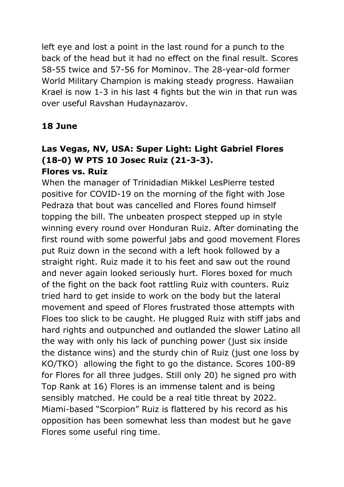left eye and lost a point in the last round for a punch to the back of the head but it had no effect on the final result. Scores 58-55 twice and 57-56 for Mominov. The 28-year-old former World Military Champion is making steady progress. Hawaiian Krael is now 1-3 in his last 4 fights but the win in that run was over useful Ravshan Hudaynazarov.

# **18 June**

#### **Las Vegas, NV, USA: Super Light: Light Gabriel Flores (18-0) W PTS 10 Josec Ruiz (21-3-3). Flores vs. Ruiz**

When the manager of Trinidadian Mikkel LesPierre tested positive for COVID-19 on the morning of the fight with Jose Pedraza that bout was cancelled and Flores found himself topping the bill. The unbeaten prospect stepped up in style winning every round over Honduran Ruiz. After dominating the first round with some powerful jabs and good movement Flores put Ruiz down in the second with a left hook followed by a straight right. Ruiz made it to his feet and saw out the round and never again looked seriously hurt. Flores boxed for much of the fight on the back foot rattling Ruiz with counters. Ruiz tried hard to get inside to work on the body but the lateral movement and speed of Flores frustrated those attempts with Floes too slick to be caught. He plugged Ruiz with stiff jabs and hard rights and outpunched and outlanded the slower Latino all the way with only his lack of punching power (just six inside the distance wins) and the sturdy chin of Ruiz (just one loss by KO/TKO) allowing the fight to go the distance. Scores 100-89 for Flores for all three judges. Still only 20) he signed pro with Top Rank at 16) Flores is an immense talent and is being sensibly matched. He could be a real title threat by 2022. Miami-based "Scorpion" Ruiz is flattered by his record as his opposition has been somewhat less than modest but he gave Flores some useful ring time.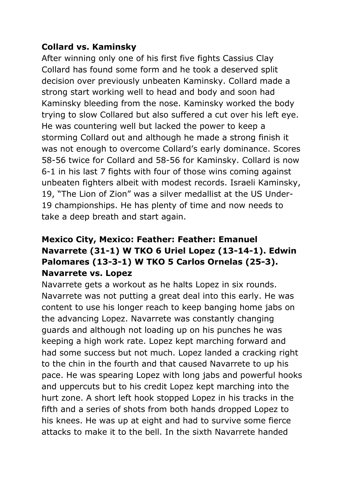#### **Collard vs. Kaminsky**

After winning only one of his first five fights Cassius Clay Collard has found some form and he took a deserved split decision over previously unbeaten Kaminsky. Collard made a strong start working well to head and body and soon had Kaminsky bleeding from the nose. Kaminsky worked the body trying to slow Collared but also suffered a cut over his left eye. He was countering well but lacked the power to keep a storming Collard out and although he made a strong finish it was not enough to overcome Collard's early dominance. Scores 58-56 twice for Collard and 58-56 for Kaminsky. Collard is now 6-1 in his last 7 fights with four of those wins coming against unbeaten fighters albeit with modest records. Israeli Kaminsky, 19, "The Lion of Zion" was a silver medallist at the US Under-19 championships. He has plenty of time and now needs to take a deep breath and start again.

## **Mexico City, Mexico: Feather: Feather: Emanuel Navarrete (31-1) W TKO 6 Uriel Lopez (13-14-1). Edwin Palomares (13-3-1) W TKO 5 Carlos Ornelas (25-3). Navarrete vs. Lopez**

Navarrete gets a workout as he halts Lopez in six rounds. Navarrete was not putting a great deal into this early. He was content to use his longer reach to keep banging home jabs on the advancing Lopez. Navarrete was constantly changing guards and although not loading up on his punches he was keeping a high work rate. Lopez kept marching forward and had some success but not much. Lopez landed a cracking right to the chin in the fourth and that caused Navarrete to up his pace. He was spearing Lopez with long jabs and powerful hooks and uppercuts but to his credit Lopez kept marching into the hurt zone. A short left hook stopped Lopez in his tracks in the fifth and a series of shots from both hands dropped Lopez to his knees. He was up at eight and had to survive some fierce attacks to make it to the bell. In the sixth Navarrete handed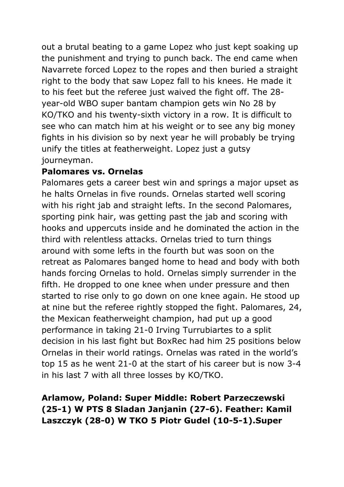out a brutal beating to a game Lopez who just kept soaking up the punishment and trying to punch back. The end came when Navarrete forced Lopez to the ropes and then buried a straight right to the body that saw Lopez fall to his knees. He made it to his feet but the referee just waived the fight off. The 28 year-old WBO super bantam champion gets win No 28 by KO/TKO and his twenty-sixth victory in a row. It is difficult to see who can match him at his weight or to see any big money fights in his division so by next year he will probably be trying unify the titles at featherweight. Lopez just a gutsy journeyman.

#### **Palomares vs. Ornelas**

Palomares gets a career best win and springs a major upset as he halts Ornelas in five rounds. Ornelas started well scoring with his right jab and straight lefts. In the second Palomares, sporting pink hair, was getting past the jab and scoring with hooks and uppercuts inside and he dominated the action in the third with relentless attacks. Ornelas tried to turn things around with some lefts in the fourth but was soon on the retreat as Palomares banged home to head and body with both hands forcing Ornelas to hold. Ornelas simply surrender in the fifth. He dropped to one knee when under pressure and then started to rise only to go down on one knee again. He stood up at nine but the referee rightly stopped the fight. Palomares, 24, the Mexican featherweight champion, had put up a good performance in taking 21-0 Irving Turrubiartes to a split decision in his last fight but BoxRec had him 25 positions below Ornelas in their world ratings. Ornelas was rated in the world's top 15 as he went 21-0 at the start of his career but is now 3-4 in his last 7 with all three losses by KO/TKO.

### **Arlamow, Poland: Super Middle: Robert Parzeczewski (25-1) W PTS 8 Sladan Janjanin (27-6). Feather: Kamil Laszczyk (28-0) W TKO 5 Piotr Gudel (10-5-1).Super**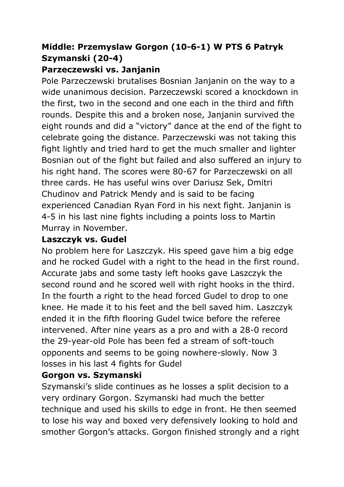# **Middle: Przemyslaw Gorgon (10-6-1) W PTS 6 Patryk Szymanski (20-4)**

#### **Parzeczewski vs. Janjanin**

Pole Parzeczewski brutalises Bosnian Janjanin on the way to a wide unanimous decision. Parzeczewski scored a knockdown in the first, two in the second and one each in the third and fifth rounds. Despite this and a broken nose, Janjanin survived the eight rounds and did a "victory" dance at the end of the fight to celebrate going the distance. Parzeczewski was not taking this fight lightly and tried hard to get the much smaller and lighter Bosnian out of the fight but failed and also suffered an injury to his right hand. The scores were 80-67 for Parzeczewski on all three cards. He has useful wins over Dariusz Sek, Dmitri Chudinov and Patrick Mendy and is said to be facing experienced Canadian Ryan Ford in his next fight. Janjanin is 4-5 in his last nine fights including a points loss to Martin Murray in November.

#### **Laszczyk vs. Gudel**

No problem here for Laszczyk. His speed gave him a big edge and he rocked Gudel with a right to the head in the first round. Accurate jabs and some tasty left hooks gave Laszczyk the second round and he scored well with right hooks in the third. In the fourth a right to the head forced Gudel to drop to one knee. He made it to his feet and the bell saved him. Laszczyk ended it in the fifth flooring Gudel twice before the referee intervened. After nine years as a pro and with a 28-0 record the 29-year-old Pole has been fed a stream of soft-touch opponents and seems to be going nowhere-slowly. Now 3 losses in his last 4 fights for Gudel

#### **Gorgon vs. Szymanski**

Szymanski's slide continues as he losses a split decision to a very ordinary Gorgon. Szymanski had much the better technique and used his skills to edge in front. He then seemed to lose his way and boxed very defensively looking to hold and smother Gorgon's attacks. Gorgon finished strongly and a right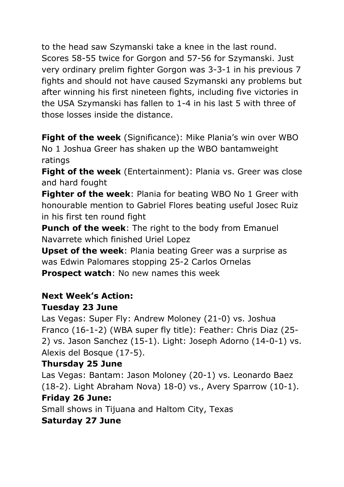to the head saw Szymanski take a knee in the last round. Scores 58-55 twice for Gorgon and 57-56 for Szymanski. Just very ordinary prelim fighter Gorgon was 3-3-1 in his previous 7 fights and should not have caused Szymanski any problems but after winning his first nineteen fights, including five victories in the USA Szymanski has fallen to 1-4 in his last 5 with three of those losses inside the distance.

**Fight of the week** (Significance): Mike Plania's win over WBO No 1 Joshua Greer has shaken up the WBO bantamweight ratings

**Fight of the week** (Entertainment): Plania vs. Greer was close and hard fought

**Fighter of the week**: Plania for beating WBO No 1 Greer with honourable mention to Gabriel Flores beating useful Josec Ruiz in his first ten round fight

**Punch of the week**: The right to the body from Emanuel Navarrete which finished Uriel Lopez

**Upset of the week**: Plania beating Greer was a surprise as was Edwin Palomares stopping 25-2 Carlos Ornelas **Prospect watch**: No new names this week

### **Next Week's Action:**

### **Tuesday 23 June**

Las Vegas: Super Fly: Andrew Moloney (21-0) vs. Joshua Franco (16-1-2) (WBA super fly title): Feather: Chris Diaz (25- 2) vs. Jason Sanchez (15-1). Light: Joseph Adorno (14-0-1) vs. Alexis del Bosque (17-5).

### **Thursday 25 June**

Las Vegas: Bantam: Jason Moloney (20-1) vs. Leonardo Baez (18-2). Light Abraham Nova) 18-0) vs., Avery Sparrow (10-1). **Friday 26 June:**

Small shows in Tijuana and Haltom City, Texas

### **Saturday 27 June**